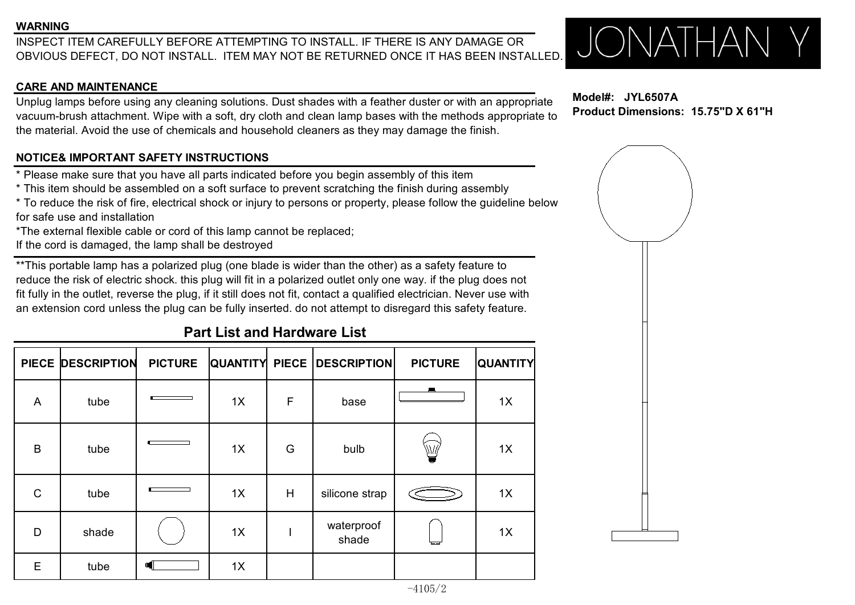#### **WARNING**

INSPECT ITEM CAREFULLY BEFORE ATTEMPTING TO INSTALL. IF THERE IS ANY DAMAGE OR **AN ANDREW AND A REPORT OF A REPORT** OBVIOUS DEFECT, DO NOT INSTALL. ITEM MAY NOT BE RETURNED ONCE IT HAS BEEN INSTALLED.

#### **CARE AND MAINTENANCE**

Unplug lamps before using any cleaning solutions. Dust shades with a feather duster or with an appropriate vacuum-brush attachment. Wipe with a soft, dry cloth and clean lamp bases with the methods appropriate to the material. Avoid the use of chemicals and household cleaners as they may damage the finish.

### **NOTICE& IMPORTANT SAFETY INSTRUCTIONS**

\* Please make sure that you have all parts indicated before you begin assembly of this item

\* This item should be assembled on a soft surface to prevent scratching the finish during assembly

\* To reduce the risk of fire, electrical shock or injury to persons or property, please follow the guideline below for safe use and installation

\*The external flexible cable or cord of this lamp cannot be replaced;

If the cord is damaged, the lamp shall be destroyed

\*\*This portable lamp has a polarized plug (one blade is wider than the other) as a safety feature to reduce the risk of electric shock. this plug will fit in a polarized outlet only one way. if the plug does not fit fully in the outlet, reverse the plug, if it still does not fit, contact a qualified electrician. Never use with an extension cord unless the plug can be fully inserted, do not attempt to disregard this safety feature.

# **Part List and Hardware List**

|              | PIECE DESCRIPTION | <b>PICTURE</b> |    |   | QUANTITY PIECE   DESCRIPTION | <b>PICTURE</b> | <b>QUANTITY</b> |
|--------------|-------------------|----------------|----|---|------------------------------|----------------|-----------------|
| A            | tube              |                | 1X | F | base                         | $\blacksquare$ | 1X              |
| B            | tube              |                | 1X | G | bulb                         | ₩              | 1X              |
| $\mathsf{C}$ | tube              |                | 1X | H | silicone strap               |                | 1X              |
| D            | shade             |                | 1X |   | waterproof<br>shade          |                | 1X              |
| $\mathsf E$  | tube              | 빼              | 1X |   |                              |                |                 |

-4105/2

**Model#: JYL6507A Product Dimensions: 15.75"D X 61"H**